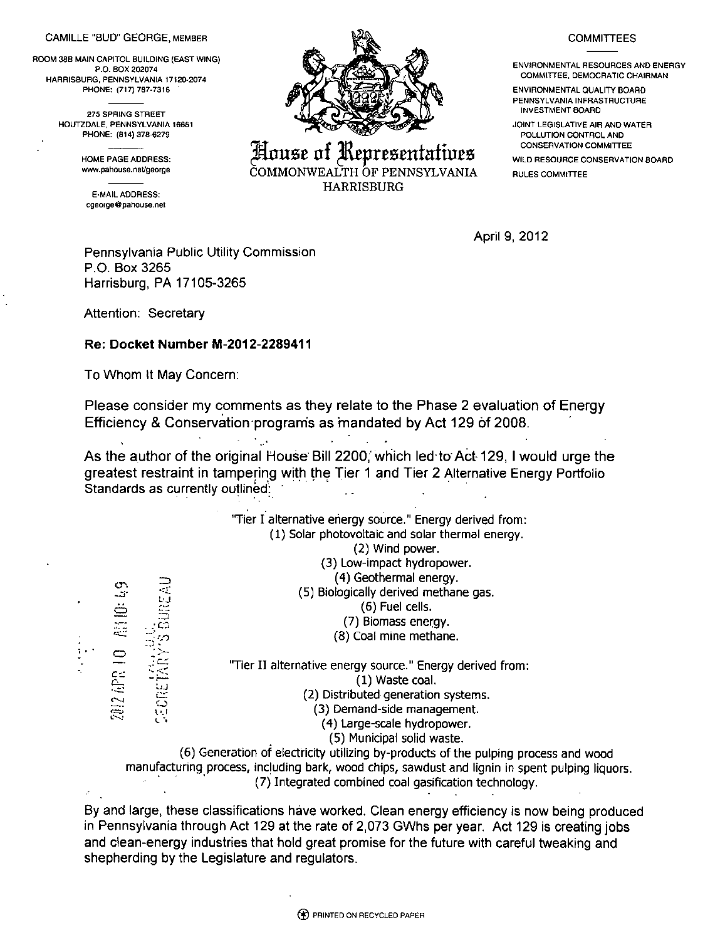## CAMILLE "BUD" GEORGE, MEMBER

ROOM 38B MAIN CAPITOL BUILDING (EAST WING) P.O. BOX 202074 HARRISBURG, PENNSYLVANIA 17120-2074 PHONE: (717) 7B7-7316 "

> 275 SPRING STREET HOUTZDALE, PENNSYLVANIA 16651 PHONE: (814)378-6279

> > HOME PAGE ADDRESS: www.pahouse.net/george

E-MAIL ADDRESS: cgeorgedpahouse.net



House of Representatives HARRISBURG

## **COMMITTEES**

ENVIRONMENTAL RESOURCES AND ENERGY COMMITTEE. DEMOCRATIC CHAIRMAN

ENVIRONMENTAL QUALITY BOARD PENNSYLVANIA INFRASTRUCTURE INVESTMENT BOARD

JOINT LEGISLATIVE AIR AND WATER POLLUTION CONTROL AND CONSERVATION COMMITTEE

WILD RESOURCE CONSERVATION BOARD RULES COMMITTEE

**April 9, 2012** 

## **Pennsylvania Public Utility Commission P.O. Box 3265 Harrisburg, PA 17105-3265**

**Attention: Secretary** 

## **Re: Docket Number M-2012-2289411**

**To Whom It May Concern:** 

**Please consider my comments as they relate to the Phase 2 evaluation of Energy Efficiency & Conservation program's as mandated by Act 129 of 2008.** 

**As the author of the original House Bill 2200,'which led to Act-129, I would urge the greatest restraint in tampering with the Tier 1 and Tier 2 Alternative Energy Portfolio Standards as currently outlined:** 

|                                                                                                 |                      |          | "Tier I alternative energy source." Energy derived from:                            |
|-------------------------------------------------------------------------------------------------|----------------------|----------|-------------------------------------------------------------------------------------|
|                                                                                                 |                      |          | (1) Solar photovoltaic and solar thermal energy.                                    |
|                                                                                                 |                      |          | (2) Wind power.                                                                     |
|                                                                                                 |                      |          | (3) Low-impact hydropower.                                                          |
|                                                                                                 |                      |          | (4) Geothermal energy.                                                              |
|                                                                                                 |                      |          | (5) Biologically derived methane gas.                                               |
|                                                                                                 |                      |          | (6) Fuel cells.                                                                     |
|                                                                                                 |                      | BUREAU   | (7) Biomass energy.                                                                 |
|                                                                                                 |                      |          | (8) Coal mine methane.                                                              |
|                                                                                                 |                      |          |                                                                                     |
|                                                                                                 |                      |          | "Tier II alternative energy source." Energy derived from:                           |
|                                                                                                 |                      |          | (1) Waste coal.                                                                     |
|                                                                                                 | 2012 APR 10 AM O: 49 | CEORETAR | (2) Distributed generation systems.                                                 |
|                                                                                                 |                      |          | (3) Demand-side management.                                                         |
|                                                                                                 |                      |          | (4) Large-scale hydropower.                                                         |
|                                                                                                 |                      |          | (5) Municipal solid waste.                                                          |
|                                                                                                 |                      |          | (6) Generation of electricity utilizing by-products of the pulping process and wood |
| manufacturing process, including bark, wood chips, sawdust and lignin in spent pulping liquors. |                      |          |                                                                                     |
|                                                                                                 |                      |          | (7) Integrated combined coal gasification technology.                               |
|                                                                                                 |                      |          |                                                                                     |
| By and large, these classifications have worked. Clean energy efficiency is now being produced  |                      |          |                                                                                     |

**in Pennsylvania through Act 129 at the rate of 2,073 GWhs per year. Act 129 is creating jobs and clean-energy industries that hold great promise for the future with careful tweaking and shepherding by the Legislature and regulators.**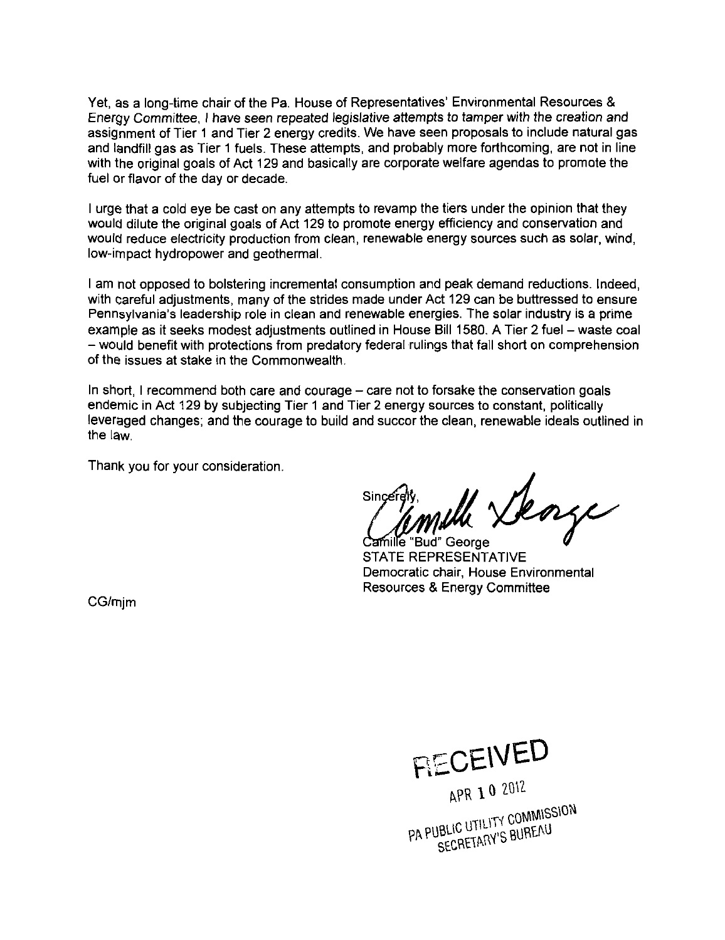Yet, as a long-time chair of the Pa. House of Representatives' Environmental Resources & Energy Committee, I have seen repeated legislative attempts to tamper with the creation and assignment of Tier 1 and Tier 2 energy credits. We have seen proposals to include natural gas and landfill gas as Tier 1 fuels. These attempts, and probably more forthcoming, are not in line with the original goals of Act 129 and basically are corporate welfare agendas to promote the fuel or flavor of the day or decade.

I urge that a cold eye be cast on any attempts to revamp the tiers under the opinion that they would dilute the original goals of Act 129 to promote energy efficiency and conservation and would reduce electricity production from clean, renewable energy sources such as solar, wind, low-impact hydropower and geothermal.

I am not opposed to bolstering incremental consumption and peak demand reductions. Indeed, with careful adjustments, many of the strides made under Act 129 can be buttressed to ensure Pennsylvania's leadership role in clean and renewable energies. The solar industry is a prime example as it seeks modest adjustments outlined in House Bill 1580. A Tier 2 fuel - waste coal - would benefit with protections from predatory federal rulings that fall short on comprehension of the issues at stake in the Commonwealth.

In short, I recommend both care and courage – care not to forsake the conservation goals endemic in Act 129 by subjecting Tier 1 and Tier 2 energy sources to constant, politically leveraged changes; and the courage to build and succor the clean, renewable ideals outlined in the law.

Thank you for your consideration.

Wh Deage

**Bud"** George STATE REPRESENTATIVE Democratic chair, House Environmental Resources & Energy Committee

CG/mjm

**BccE\VBD** 

APR 10 2012 AFRICATE<br>PA PUBLIC UTILITY COMMISSION JBLIC UTILITY COMMON<br>SECRETARY'S BUREAU